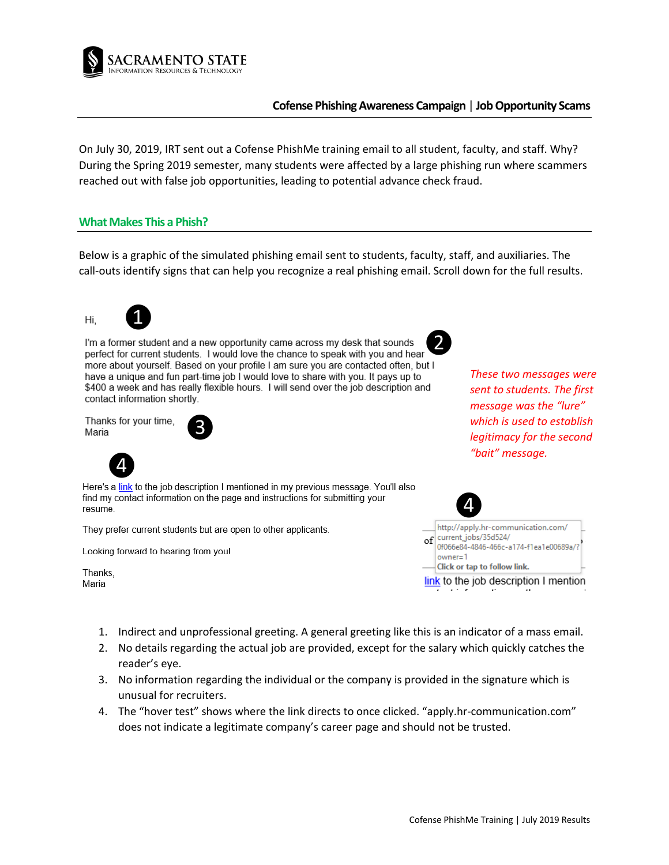

## **Cofense Phishing Awareness Campaign** | **Job Opportunity Scams**

On July 30, 2019, IRT sent out a Cofense PhishMe training email to all student, faculty, and staff. Why? During the Spring 2019 semester, many students were affected by a large phishing run where scammers reached out with false job opportunities, leading to potential advance check fraud.

#### **What Makes This a Phish?**

Below is a graphic of the simulated phishing email sent to students, faculty, staff, and auxiliaries. The call-outs identify signs that can help you recognize a real phishing email. Scroll down for the full results.

Hi,



❷ I'm a former student and a new opportunity came across my desk that sounds more about yourself. Based on your profile I am sure you are contacted often, but I have a unique and fun part-time job I would love to share with you. It pays up to \$400 a week and has really flexible hours. I will send over the job description and contact information shortly.

Thanks for your time, ❸ Maria



Here's a link to the job description I mentioned in my previous message. You'll also find my contact information on the page and instructions for submitting your resume.

They prefer current students but are open to other applicants.

Looking forward to hearing from you!

Thanks, Maria

*These two messages were sent to students. The first message was the "lure" which is used to establish legitimacy for the second "bait" message.*



|                                       | http://apply.hr-communication.com/                             |
|---------------------------------------|----------------------------------------------------------------|
| $\sigma$                              | current_jobs/35d524/<br>0f066e84-4846-466c-a174-f1ea1e00689a/? |
|                                       | $owner=1$                                                      |
|                                       | Click or tap to follow link.                                   |
| link to the job description I mention |                                                                |
|                                       |                                                                |

- 1. Indirect and unprofessional greeting. A general greeting like this is an indicator of a mass email.
- 2. No details regarding the actual job are provided, except for the salary which quickly catches the reader's eye.
- 3. No information regarding the individual or the company is provided in the signature which is unusual for recruiters.
- 4. The "hover test" shows where the link directs to once clicked. "apply.hr-communication.com" does not indicate a legitimate company's career page and should not be trusted.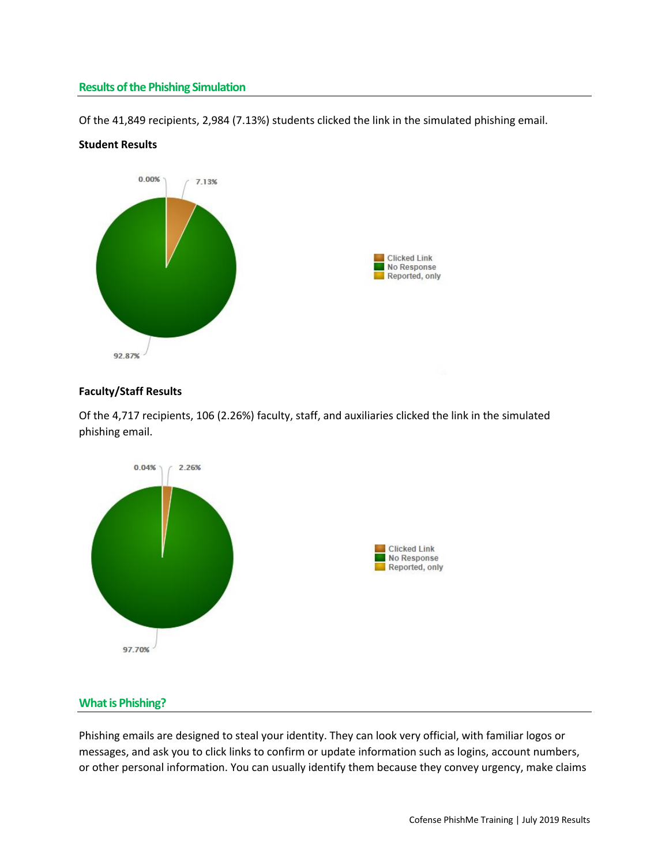## **Results of the Phishing Simulation**

Of the 41,849 recipients, 2,984 (7.13%) students clicked the link in the simulated phishing email.



## **Student Results**

#### **Faculty/Staff Results**

Of the 4,717 recipients, 106 (2.26%) faculty, staff, and auxiliaries clicked the link in the simulated phishing email.



# **What is Phishing?**

Phishing emails are designed to steal your identity. They can look very official, with familiar logos or messages, and ask you to click links to confirm or update information such as logins, account numbers, or other personal information. You can usually identify them because they convey urgency, make claims